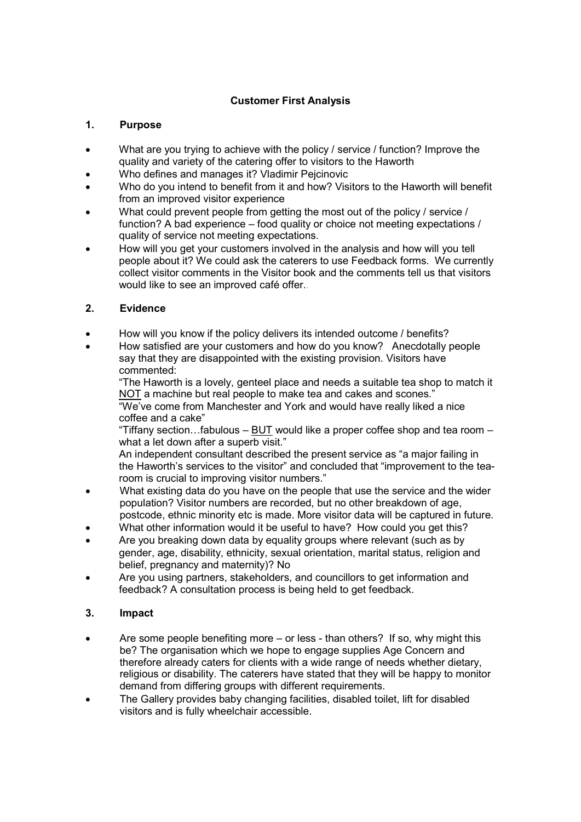# **Customer First Analysis**

#### **1. Purpose**

- What are you trying to achieve with the policy / service / function? Improve the quality and variety of the catering offer to visitors to the Haworth
- Who defines and manages it? Vladimir Pejcinovic
- Who do you intend to benefit from it and how? Visitors to the Haworth will benefit from an improved visitor experience
- What could prevent people from getting the most out of the policy / service / function? A bad experience – food quality or choice not meeting expectations / quality of service not meeting expectations.
- How will you get your customers involved in the analysis and how will you tell people about it? We could ask the caterers to use Feedback forms. We currently collect visitor comments in the Visitor book and the comments tell us that visitors would like to see an improved café offer..

### **2. Evidence**

- How will you know if the policy delivers its intended outcome / benefits?
- How satisfied are your customers and how do you know? Anecdotally people say that they are disappointed with the existing provision. Visitors have commented:

"The Haworth is a lovely, genteel place and needs a suitable tea shop to match it NOT a machine but real people to make tea and cakes and scones."

"We've come from Manchester and York and would have really liked a nice coffee and a cake"

"Tiffany section...fabulous – BUT would like a proper coffee shop and tea room – what a let down after a superb visit."

An independent consultant described the present service as "a major failing in the Haworth's services to the visitor" and concluded that "improvement to the tearoom is crucial to improving visitor numbers."

- What existing data do you have on the people that use the service and the wider population? Visitor numbers are recorded, but no other breakdown of age, postcode, ethnic minority etc is made. More visitor data will be captured in future.
- What other information would it be useful to have? How could you get this?
- Are you breaking down data by equality groups where relevant (such as by gender, age, disability, ethnicity, sexual orientation, marital status, religion and belief, pregnancy and maternity)? No
- Are you using partners, stakeholders, and councillors to get information and feedback? A consultation process is being held to get feedback.

## **3. Impact**

- Are some people benefiting more or less than others? If so, why might this be? The organisation which we hope to engage supplies Age Concern and therefore already caters for clients with a wide range of needs whether dietary, religious or disability. The caterers have stated that they will be happy to monitor demand from differing groups with different requirements.
- The Gallery provides baby changing facilities, disabled toilet, lift for disabled visitors and is fully wheelchair accessible.